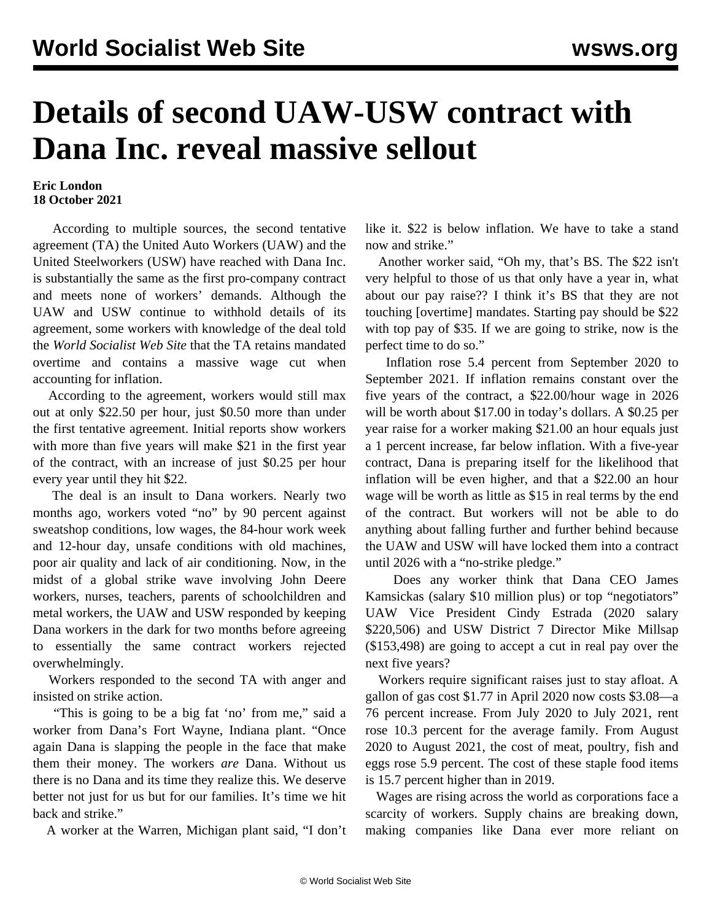## **Details of second UAW-USW contract with Dana Inc. reveal massive sellout**

## **Eric London 18 October 2021**

 According to multiple sources, the second tentative agreement (TA) the United Auto Workers (UAW) and the United Steelworkers (USW) have reached with Dana Inc. is substantially the same as the first pro-company contract and meets none of workers' demands. Although the UAW and USW continue to withhold details of its agreement, some workers with knowledge of the deal told the *World Socialist Web Site* that the TA retains mandated overtime and contains a massive wage cut when accounting for inflation.

 According to the agreement, workers would still max out at only \$22.50 per hour, just \$0.50 more than under the first tentative agreement. Initial reports show workers with more than five years will make \$21 in the first year of the contract, with an increase of just \$0.25 per hour every year until they hit \$22.

 The deal is an insult to Dana workers. Nearly two months ago, workers voted "no" by 90 percent against sweatshop conditions, low wages, the 84-hour work week and 12-hour day, unsafe conditions with old machines, poor air quality and lack of air conditioning. Now, in the midst of a global strike wave involving John Deere workers, nurses, teachers, parents of schoolchildren and metal workers, the UAW and USW responded by keeping Dana workers in the dark for two months before agreeing to essentially the same contract workers rejected overwhelmingly.

 Workers responded to the second TA with anger and insisted on strike action.

 "This is going to be a big fat 'no' from me," said a worker from Dana's Fort Wayne, Indiana plant. "Once again Dana is slapping the people in the face that make them their money. The workers *are* Dana. Without us there is no Dana and its time they realize this. We deserve better not just for us but for our families. It's time we hit back and strike."

A worker at the Warren, Michigan plant said, "I don't

like it. \$22 is below inflation. We have to take a stand now and strike."

 Another worker said, "Oh my, that's BS. The \$22 isn't very helpful to those of us that only have a year in, what about our pay raise?? I think it's BS that they are not touching [overtime] mandates. Starting pay should be \$22 with top pay of \$35. If we are going to strike, now is the perfect time to do so."

 Inflation rose 5.4 percent from September 2020 to September 2021. If inflation remains constant over the five years of the contract, a \$22.00/hour wage in 2026 will be worth about \$17.00 in today's dollars. A \$0.25 per year raise for a worker making \$21.00 an hour equals just a 1 percent increase, far below inflation. With a five-year contract, Dana is preparing itself for the likelihood that inflation will be even higher, and that a \$22.00 an hour wage will be worth as little as \$15 in real terms by the end of the contract. But workers will not be able to do anything about falling further and further behind because the UAW and USW will have locked them into a contract until 2026 with a "no-strike pledge."

 Does any worker think that Dana CEO James Kamsickas (salary \$10 million plus) or top "negotiators" UAW Vice President Cindy Estrada (2020 salary \$220,506) and USW District 7 Director Mike Millsap (\$153,498) are going to accept a cut in real pay over the next five years?

 Workers require significant raises just to stay afloat. A gallon of gas cost \$1.77 in April 2020 now costs \$3.08—a 76 percent increase. From July 2020 to July 2021, rent rose 10.3 percent for the average family. From August 2020 to August 2021, the cost of meat, poultry, fish and eggs rose 5.9 percent. The cost of these staple food items is 15.7 percent higher than in 2019.

 Wages are rising across the world as corporations face a scarcity of workers. Supply chains are breaking down, making companies like Dana ever more reliant on